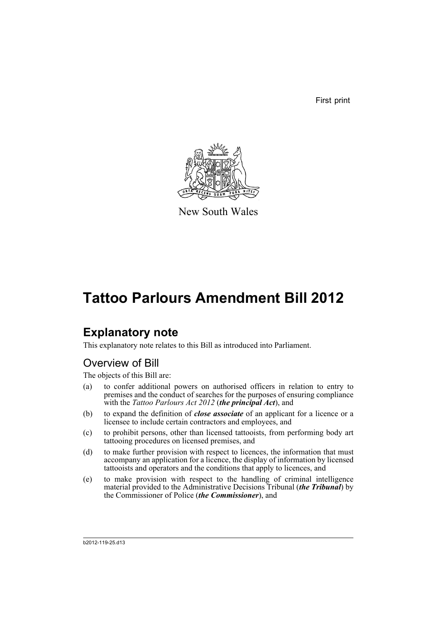First print



New South Wales

# **Tattoo Parlours Amendment Bill 2012**

## **Explanatory note**

This explanatory note relates to this Bill as introduced into Parliament.

## Overview of Bill

The objects of this Bill are:

- (a) to confer additional powers on authorised officers in relation to entry to premises and the conduct of searches for the purposes of ensuring compliance with the *Tattoo Parlours Act 2012* (*the principal Act*), and
- (b) to expand the definition of *close associate* of an applicant for a licence or a licensee to include certain contractors and employees, and
- (c) to prohibit persons, other than licensed tattooists, from performing body art tattooing procedures on licensed premises, and
- (d) to make further provision with respect to licences, the information that must accompany an application for a licence, the display of information by licensed tattooists and operators and the conditions that apply to licences, and
- (e) to make provision with respect to the handling of criminal intelligence material provided to the Administrative Decisions Tribunal (*the Tribunal*) by the Commissioner of Police (*the Commissioner*), and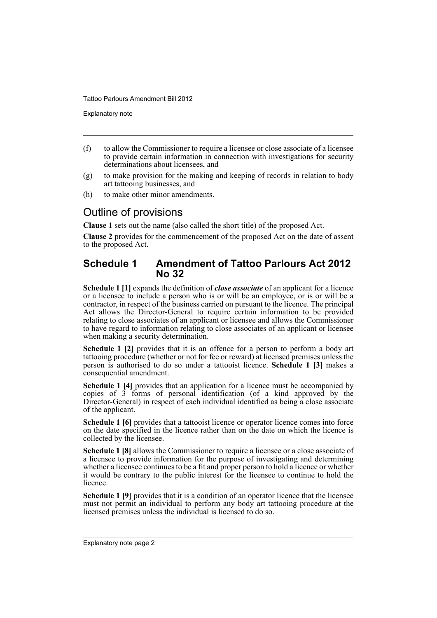Explanatory note

- (f) to allow the Commissioner to require a licensee or close associate of a licensee to provide certain information in connection with investigations for security determinations about licensees, and
- (g) to make provision for the making and keeping of records in relation to body art tattooing businesses, and
- (h) to make other minor amendments.

## Outline of provisions

**Clause 1** sets out the name (also called the short title) of the proposed Act.

**Clause 2** provides for the commencement of the proposed Act on the date of assent to the proposed Act.

### **Schedule 1 Amendment of Tattoo Parlours Act 2012 No 32**

**Schedule 1 [1]** expands the definition of *close associate* of an applicant for a licence or a licensee to include a person who is or will be an employee, or is or will be a contractor, in respect of the business carried on pursuant to the licence. The principal Act allows the Director-General to require certain information to be provided relating to close associates of an applicant or licensee and allows the Commissioner to have regard to information relating to close associates of an applicant or licensee when making a security determination.

**Schedule 1 [2]** provides that it is an offence for a person to perform a body art tattooing procedure (whether or not for fee or reward) at licensed premises unless the person is authorised to do so under a tattooist licence. **Schedule 1 [3]** makes a consequential amendment.

**Schedule 1 [4]** provides that an application for a licence must be accompanied by copies of 3 forms of personal identification (of a kind approved by the Director-General) in respect of each individual identified as being a close associate of the applicant.

**Schedule 1 [6]** provides that a tattooist licence or operator licence comes into force on the date specified in the licence rather than on the date on which the licence is collected by the licensee.

**Schedule 1 [8]** allows the Commissioner to require a licensee or a close associate of a licensee to provide information for the purpose of investigating and determining whether a licensee continues to be a fit and proper person to hold a licence or whether it would be contrary to the public interest for the licensee to continue to hold the licence.

**Schedule 1 [9]** provides that it is a condition of an operator licence that the licensee must not permit an individual to perform any body art tattooing procedure at the licensed premises unless the individual is licensed to do so.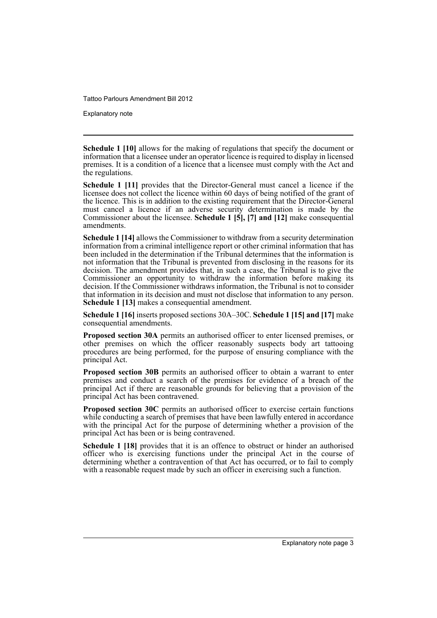Explanatory note

**Schedule 1 [10]** allows for the making of regulations that specify the document or information that a licensee under an operator licence is required to display in licensed premises. It is a condition of a licence that a licensee must comply with the Act and the regulations.

**Schedule 1 [11]** provides that the Director-General must cancel a licence if the licensee does not collect the licence within 60 days of being notified of the grant of the licence. This is in addition to the existing requirement that the Director-General must cancel a licence if an adverse security determination is made by the Commissioner about the licensee. **Schedule 1 [5], [7] and [12]** make consequential amendments.

**Schedule 1 [14]** allows the Commissioner to withdraw from a security determination information from a criminal intelligence report or other criminal information that has been included in the determination if the Tribunal determines that the information is not information that the Tribunal is prevented from disclosing in the reasons for its decision. The amendment provides that, in such a case, the Tribunal is to give the Commissioner an opportunity to withdraw the information before making its decision. If the Commissioner withdraws information, the Tribunal is not to consider that information in its decision and must not disclose that information to any person. **Schedule 1 [13]** makes a consequential amendment.

**Schedule 1 [16]** inserts proposed sections 30A–30C. **Schedule 1 [15] and [17]** make consequential amendments.

**Proposed section 30A** permits an authorised officer to enter licensed premises, or other premises on which the officer reasonably suspects body art tattooing procedures are being performed, for the purpose of ensuring compliance with the principal Act.

**Proposed section 30B** permits an authorised officer to obtain a warrant to enter premises and conduct a search of the premises for evidence of a breach of the principal Act if there are reasonable grounds for believing that a provision of the principal Act has been contravened.

**Proposed section 30C** permits an authorised officer to exercise certain functions while conducting a search of premises that have been lawfully entered in accordance with the principal Act for the purpose of determining whether a provision of the principal Act has been or is being contravened.

**Schedule 1 [18]** provides that it is an offence to obstruct or hinder an authorised officer who is exercising functions under the principal Act in the course of determining whether a contravention of that Act has occurred, or to fail to comply with a reasonable request made by such an officer in exercising such a function.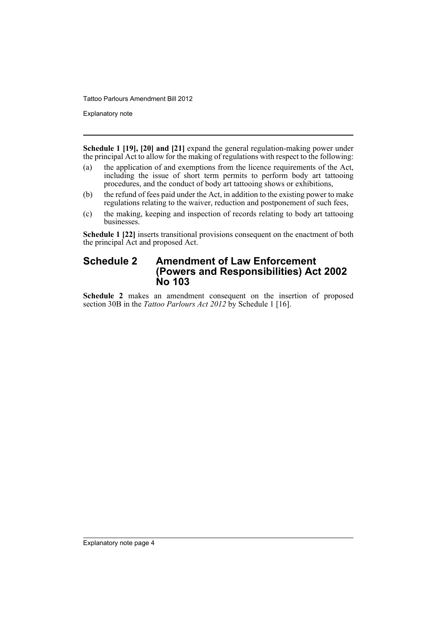Explanatory note

**Schedule 1 [19], [20] and [21]** expand the general regulation-making power under the principal Act to allow for the making of regulations with respect to the following:

- (a) the application of and exemptions from the licence requirements of the Act, including the issue of short term permits to perform body art tattooing procedures, and the conduct of body art tattooing shows or exhibitions,
- (b) the refund of fees paid under the Act, in addition to the existing power to make regulations relating to the waiver, reduction and postponement of such fees,
- (c) the making, keeping and inspection of records relating to body art tattooing businesses.

**Schedule 1 [22]** inserts transitional provisions consequent on the enactment of both the principal Act and proposed Act.

### **Schedule 2 Amendment of Law Enforcement (Powers and Responsibilities) Act 2002 No 103**

**Schedule 2** makes an amendment consequent on the insertion of proposed section 30B in the *Tattoo Parlours Act 2012* by Schedule 1 [16].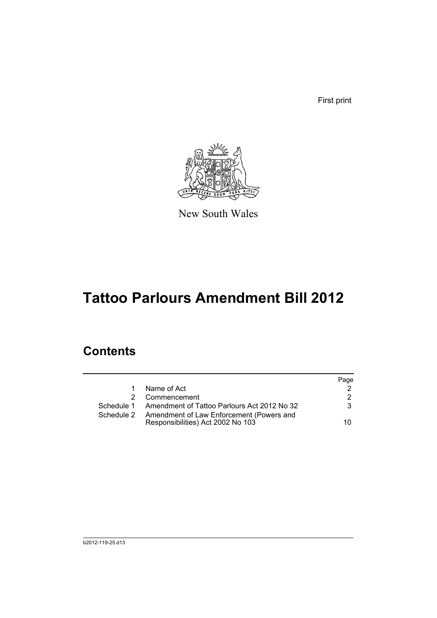First print



New South Wales

# **Tattoo Parlours Amendment Bill 2012**

## **Contents**

|            |                                                                               | Page |
|------------|-------------------------------------------------------------------------------|------|
| 1          | Name of Act                                                                   |      |
|            | Commencement                                                                  | 2    |
|            | Schedule 1 Amendment of Tattoo Parlours Act 2012 No 32                        | 3    |
| Schedule 2 | Amendment of Law Enforcement (Powers and<br>Responsibilities) Act 2002 No 103 | 10.  |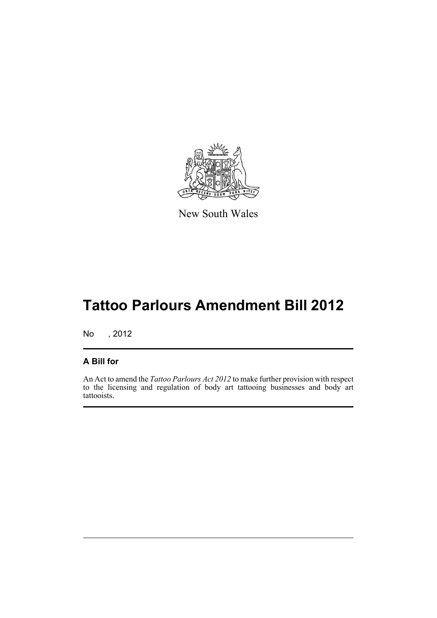

New South Wales

# **Tattoo Parlours Amendment Bill 2012**

No , 2012

### **A Bill for**

An Act to amend the *Tattoo Parlours Act 2012* to make further provision with respect to the licensing and regulation of body art tattooing businesses and body art tattooists.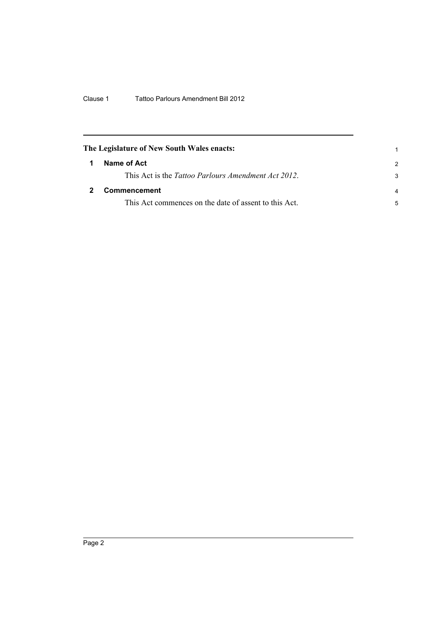<span id="page-7-1"></span><span id="page-7-0"></span>

| The Legislature of New South Wales enacts:            |                |
|-------------------------------------------------------|----------------|
| Name of Act                                           | $\mathcal{P}$  |
| This Act is the Tattoo Parlours Amendment Act 2012.   | 3              |
| <b>Commencement</b>                                   | $\overline{a}$ |
| This Act commences on the date of assent to this Act. | 5              |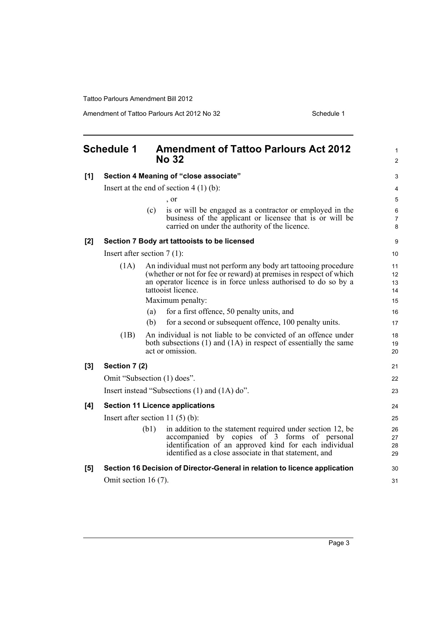Amendment of Tattoo Parlours Act 2012 No 32 Schedule 1

<span id="page-8-0"></span>

|     | <b>Schedule 1</b>       | <b>Amendment of Tattoo Parlours Act 2012</b><br><b>No 32</b>                                                                                                                                                                           | 1<br>$\overline{c}$  |
|-----|-------------------------|----------------------------------------------------------------------------------------------------------------------------------------------------------------------------------------------------------------------------------------|----------------------|
| [1] |                         | Section 4 Meaning of "close associate"                                                                                                                                                                                                 | 3                    |
|     |                         | Insert at the end of section $4(1)(b)$ :                                                                                                                                                                                               | 4                    |
|     |                         | $\cdot$ or                                                                                                                                                                                                                             | 5                    |
|     |                         | (c)<br>is or will be engaged as a contractor or employed in the<br>business of the applicant or licensee that is or will be<br>carried on under the authority of the licence.                                                          | 6<br>7<br>8          |
| [2] |                         | Section 7 Body art tattooists to be licensed                                                                                                                                                                                           | 9                    |
|     |                         | Insert after section $7(1)$ :                                                                                                                                                                                                          | 10                   |
|     | (1A)                    | An individual must not perform any body art tattooing procedure<br>(whether or not for fee or reward) at premises in respect of which<br>an operator licence is in force unless authorised to do so by a<br>tattooist licence.         | 11<br>12<br>13<br>14 |
|     |                         | Maximum penalty:                                                                                                                                                                                                                       | 15                   |
|     |                         | for a first offence, 50 penalty units, and<br>(a)                                                                                                                                                                                      | 16                   |
|     |                         | (b)<br>for a second or subsequent offence, 100 penalty units.                                                                                                                                                                          | 17                   |
|     | (1B)                    | An individual is not liable to be convicted of an offence under<br>both subsections (1) and (1A) in respect of essentially the same<br>act or omission.                                                                                | 18<br>19<br>20       |
| [3] | Section 7 (2)           |                                                                                                                                                                                                                                        | 21                   |
|     |                         | Omit "Subsection (1) does".                                                                                                                                                                                                            | 22                   |
|     |                         | Insert instead "Subsections (1) and (1A) do".                                                                                                                                                                                          | 23                   |
| [4] |                         | <b>Section 11 Licence applications</b>                                                                                                                                                                                                 | 24                   |
|     |                         | Insert after section 11 $(5)$ $(b)$ :                                                                                                                                                                                                  | 25                   |
|     |                         | in addition to the statement required under section 12, be<br>(b1)<br>accompanied by copies of 3 forms of personal<br>identification of an approved kind for each individual<br>identified as a close associate in that statement, and | 26<br>27<br>28<br>29 |
| [5] |                         | Section 16 Decision of Director-General in relation to licence application                                                                                                                                                             | 30                   |
|     | Omit section 16 $(7)$ . |                                                                                                                                                                                                                                        | 31                   |
|     |                         |                                                                                                                                                                                                                                        |                      |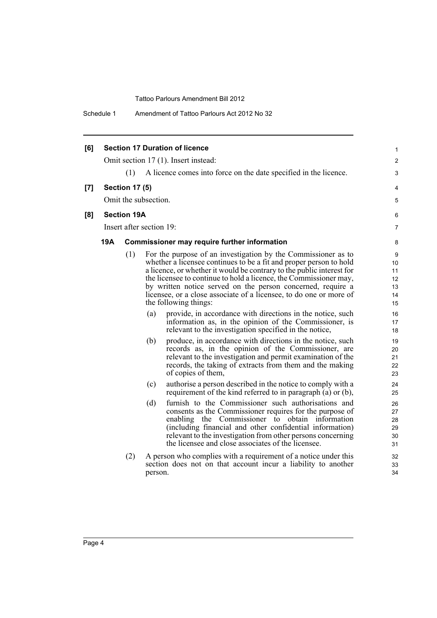Schedule 1 Amendment of Tattoo Parlours Act 2012 No 32

| [6] |            |                       |                          | <b>Section 17 Duration of licence</b>                                                                                                                                                                                                                                                                                                                                                                                                                                                                                                                                                                                                                                                                                                                                                                                                                                                                   | 1                                                                                     |
|-----|------------|-----------------------|--------------------------|---------------------------------------------------------------------------------------------------------------------------------------------------------------------------------------------------------------------------------------------------------------------------------------------------------------------------------------------------------------------------------------------------------------------------------------------------------------------------------------------------------------------------------------------------------------------------------------------------------------------------------------------------------------------------------------------------------------------------------------------------------------------------------------------------------------------------------------------------------------------------------------------------------|---------------------------------------------------------------------------------------|
|     |            |                       |                          | Omit section 17 (1). Insert instead:                                                                                                                                                                                                                                                                                                                                                                                                                                                                                                                                                                                                                                                                                                                                                                                                                                                                    | $\overline{2}$                                                                        |
|     |            | (1)                   |                          | A licence comes into force on the date specified in the licence.                                                                                                                                                                                                                                                                                                                                                                                                                                                                                                                                                                                                                                                                                                                                                                                                                                        | 3                                                                                     |
| [7] |            | <b>Section 17 (5)</b> |                          |                                                                                                                                                                                                                                                                                                                                                                                                                                                                                                                                                                                                                                                                                                                                                                                                                                                                                                         | 4                                                                                     |
|     |            |                       | Omit the subsection.     |                                                                                                                                                                                                                                                                                                                                                                                                                                                                                                                                                                                                                                                                                                                                                                                                                                                                                                         | 5                                                                                     |
| [8] |            | <b>Section 19A</b>    |                          |                                                                                                                                                                                                                                                                                                                                                                                                                                                                                                                                                                                                                                                                                                                                                                                                                                                                                                         | 6                                                                                     |
|     |            |                       | Insert after section 19: |                                                                                                                                                                                                                                                                                                                                                                                                                                                                                                                                                                                                                                                                                                                                                                                                                                                                                                         | $\overline{7}$                                                                        |
|     | <b>19A</b> |                       |                          | <b>Commissioner may require further information</b>                                                                                                                                                                                                                                                                                                                                                                                                                                                                                                                                                                                                                                                                                                                                                                                                                                                     | 8                                                                                     |
|     |            | (1)                   | (a)<br>(b)               | For the purpose of an investigation by the Commissioner as to<br>whether a licensee continues to be a fit and proper person to hold<br>a licence, or whether it would be contrary to the public interest for<br>the licensee to continue to hold a licence, the Commissioner may,<br>by written notice served on the person concerned, require a<br>licensee, or a close associate of a licensee, to do one or more of<br>the following things:<br>provide, in accordance with directions in the notice, such<br>information as, in the opinion of the Commissioner, is<br>relevant to the investigation specified in the notice,<br>produce, in accordance with directions in the notice, such<br>records as, in the opinion of the Commissioner, are<br>relevant to the investigation and permit examination of the<br>records, the taking of extracts from them and the making<br>of copies of them, | 9<br>10<br>11<br>12<br>13<br>14<br>15<br>16<br>17<br>18<br>19<br>20<br>21<br>22<br>23 |
|     |            |                       | (c)<br>(d)               | authorise a person described in the notice to comply with a<br>requirement of the kind referred to in paragraph (a) or (b),<br>furnish to the Commissioner such authorisations and<br>consents as the Commissioner requires for the purpose of<br>the Commissioner to obtain information<br>enabling<br>(including financial and other confidential information)<br>relevant to the investigation from other persons concerning<br>the licensee and close associates of the licensee.                                                                                                                                                                                                                                                                                                                                                                                                                   | 24<br>25<br>26<br>27<br>28<br>29<br>30                                                |
|     |            | (2)                   | person.                  | A person who complies with a requirement of a notice under this<br>section does not on that account incur a liability to another                                                                                                                                                                                                                                                                                                                                                                                                                                                                                                                                                                                                                                                                                                                                                                        | 31<br>32<br>33<br>34                                                                  |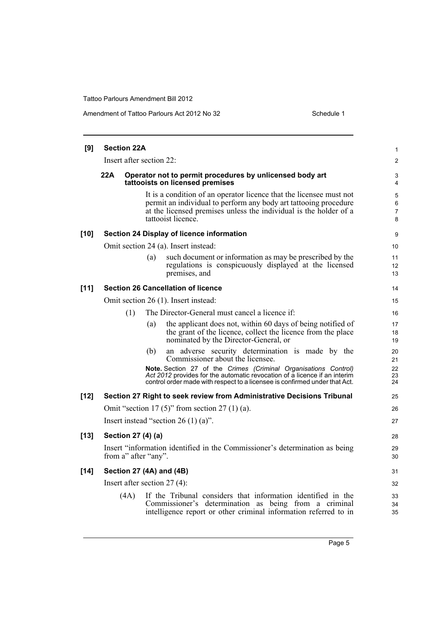#### Amendment of Tattoo Parlours Act 2012 No 32 Schedule 1

| [9]    | <b>Section 22A</b>             |     |                                                                                                                                                                                                                                    | $\mathbf{1}$                  |
|--------|--------------------------------|-----|------------------------------------------------------------------------------------------------------------------------------------------------------------------------------------------------------------------------------------|-------------------------------|
|        | Insert after section 22:       |     |                                                                                                                                                                                                                                    | $\overline{2}$                |
|        | 22A                            |     | Operator not to permit procedures by unlicensed body art<br>tattooists on licensed premises                                                                                                                                        | 3<br>4                        |
|        |                                |     | It is a condition of an operator licence that the licensee must not<br>permit an individual to perform any body art tattooing procedure<br>at the licensed premises unless the individual is the holder of a<br>tattooist licence. | 5<br>6<br>$\overline{7}$<br>8 |
| $[10]$ |                                |     | Section 24 Display of licence information                                                                                                                                                                                          | 9                             |
|        |                                |     | Omit section 24 (a). Insert instead:                                                                                                                                                                                               | 10                            |
|        |                                | (a) | such document or information as may be prescribed by the<br>regulations is conspicuously displayed at the licensed<br>premises, and                                                                                                | 11<br>12<br>13                |
| $[11]$ |                                |     | <b>Section 26 Cancellation of licence</b>                                                                                                                                                                                          | 14                            |
|        |                                |     | Omit section 26 (1). Insert instead:                                                                                                                                                                                               | 15                            |
|        | (1)                            |     | The Director-General must cancel a licence if:                                                                                                                                                                                     | 16                            |
|        |                                | (a) | the applicant does not, within 60 days of being notified of<br>the grant of the licence, collect the licence from the place<br>nominated by the Director-General, or                                                               | 17<br>18<br>19                |
|        |                                | (b) | an adverse security determination is made by the<br>Commissioner about the licensee.                                                                                                                                               | 20<br>21                      |
|        |                                |     | Note. Section 27 of the Crimes (Criminal Organisations Control)<br>Act 2012 provides for the automatic revocation of a licence if an interim<br>control order made with respect to a licensee is confirmed under that Act.         | 22<br>23<br>24                |
| $[12]$ |                                |     | Section 27 Right to seek review from Administrative Decisions Tribunal                                                                                                                                                             | 25                            |
|        |                                |     | Omit "section 17 $(5)$ " from section 27 $(1)$ $(a)$ .                                                                                                                                                                             | 26                            |
|        |                                |     | Insert instead "section 26 $(1)$ (a)".                                                                                                                                                                                             | 27                            |
| $[13]$ | Section 27 (4) (a)             |     |                                                                                                                                                                                                                                    | 28                            |
|        | from a" after "any".           |     | Insert "information identified in the Commissioner's determination as being                                                                                                                                                        | 29<br>30                      |
| $[14]$ | Section 27 (4A) and (4B)       |     |                                                                                                                                                                                                                                    | 31                            |
|        | Insert after section $27(4)$ : |     |                                                                                                                                                                                                                                    | 32                            |
|        | (4A)                           |     | If the Tribunal considers that information identified in the<br>Commissioner's determination as being from a criminal<br>intelligence report or other criminal information referred to in                                          | 33<br>34<br>35                |
|        |                                |     |                                                                                                                                                                                                                                    |                               |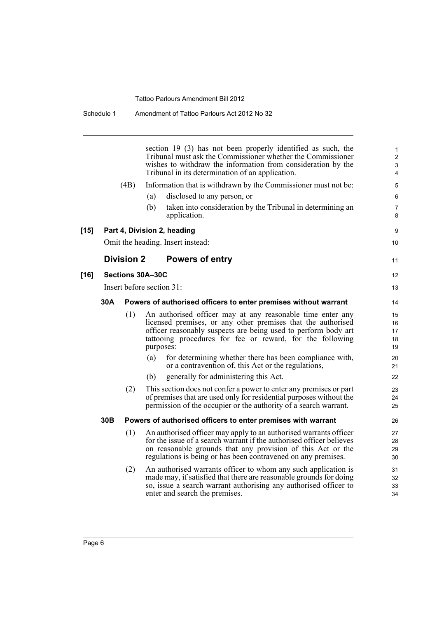section 19 (3) has not been properly identified as such, the Tribunal must ask the Commissioner whether the Commissioner wishes to withdraw the information from consideration by the Tribunal in its determination of an application. (4B) Information that is withdrawn by the Commissioner must not be: (a) disclosed to any person, or (b) taken into consideration by the Tribunal in determining an application. **[15] Part 4, Division 2, heading** Omit the heading. Insert instead: **Division 2 Powers of entry**

9 10

11

12 13

### **[16] Sections 30A–30C**

Insert before section 31:

#### **30A Powers of authorised officers to enter premises without warrant**

- (1) An authorised officer may at any reasonable time enter any licensed premises, or any other premises that the authorised officer reasonably suspects are being used to perform body art tattooing procedures for fee or reward, for the following purposes:
	- (a) for determining whether there has been compliance with, or a contravention of, this Act or the regulations,
	- (b) generally for administering this Act.
- (2) This section does not confer a power to enter any premises or part of premises that are used only for residential purposes without the permission of the occupier or the authority of a search warrant.

#### **30B Powers of authorised officers to enter premises with warrant**

- (1) An authorised officer may apply to an authorised warrants officer for the issue of a search warrant if the authorised officer believes on reasonable grounds that any provision of this Act or the regulations is being or has been contravened on any premises.
- (2) An authorised warrants officer to whom any such application is made may, if satisfied that there are reasonable grounds for doing so, issue a search warrant authorising any authorised officer to enter and search the premises.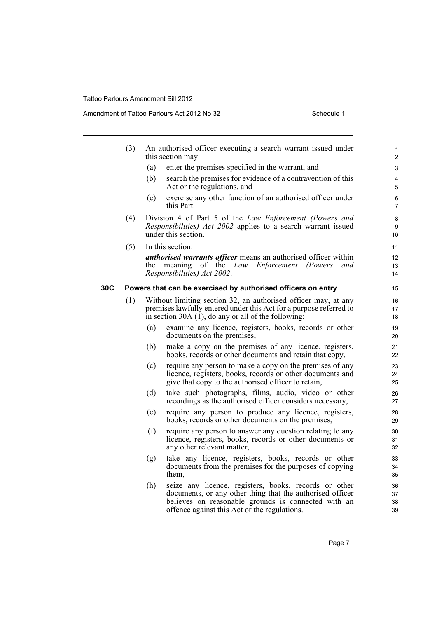Amendment of Tattoo Parlours Act 2012 No 32 Schedule 1

|     | (3) |     | An authorised officer executing a search warrant issued under<br>this section may:                                                                                                             | 1<br>$\overline{\mathbf{c}}$ |
|-----|-----|-----|------------------------------------------------------------------------------------------------------------------------------------------------------------------------------------------------|------------------------------|
|     |     | (a) | enter the premises specified in the warrant, and                                                                                                                                               | 3                            |
|     |     | (b) | search the premises for evidence of a contravention of this<br>Act or the regulations, and                                                                                                     | 4<br>5                       |
|     |     | (c) | exercise any other function of an authorised officer under<br>this Part.                                                                                                                       | 6<br>7                       |
|     | (4) |     | Division 4 of Part 5 of the Law Enforcement (Powers and<br>Responsibilities) Act 2002 applies to a search warrant issued<br>under this section.                                                | 8<br>9<br>10                 |
|     | (5) |     | In this section:                                                                                                                                                                               | 11                           |
|     |     | the | <i>authorised warrants officer</i> means an authorised officer within<br>meaning<br>of the Law<br>Enforcement (Powers<br>and<br>Responsibilities) Act 2002.                                    | 12<br>13<br>14               |
| 30C |     |     | Powers that can be exercised by authorised officers on entry                                                                                                                                   | 15                           |
|     | (1) |     | Without limiting section 32, an authorised officer may, at any<br>premises lawfully entered under this Act for a purpose referred to<br>in section 30A $(1)$ , do any or all of the following: | 16<br>17<br>18               |
|     |     | (a) | examine any licence, registers, books, records or other<br>documents on the premises,                                                                                                          | 19<br>20                     |
|     |     | (b) | make a copy on the premises of any licence, registers,<br>books, records or other documents and retain that copy,                                                                              | 21<br>22                     |
|     |     | (c) | require any person to make a copy on the premises of any<br>licence, registers, books, records or other documents and<br>give that copy to the authorised officer to retain,                   | 23<br>24<br>25               |
|     |     | (d) | take such photographs, films, audio, video or other<br>recordings as the authorised officer considers necessary,                                                                               | 26<br>27                     |
|     |     | (e) | require any person to produce any licence, registers,<br>books, records or other documents on the premises,                                                                                    | 28<br>29                     |
|     |     | (f) | require any person to answer any question relating to any<br>licence, registers, books, records or other documents or<br>any other relevant matter,                                            | 30<br>31<br>32               |
|     |     | (g) | take any licence, registers, books, records or other<br>documents from the premises for the purposes of copying<br>them,                                                                       | 33<br>34<br>35               |
|     |     | (h) | seize any licence, registers, books, records or other<br>documents, or any other thing that the authorised officer<br>believes on reasonable grounds is connected with an                      | 36<br>37<br>38               |

offence against this Act or the regulations.

39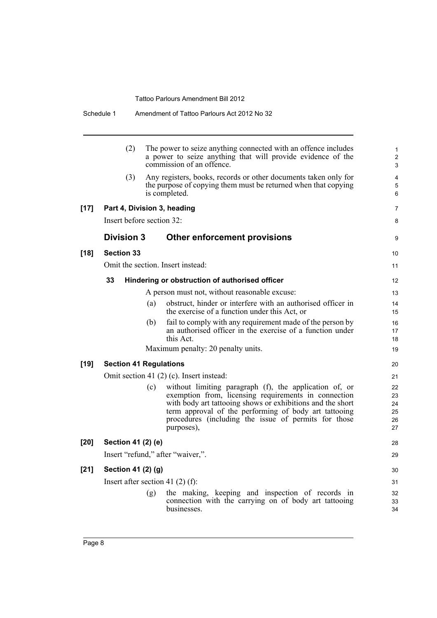|        | (2)                | The power to seize anything connected with an offence includes<br>a power to seize anything that will provide evidence of the<br>commission of an offence.                                                                                                                                                         |  |
|--------|--------------------|--------------------------------------------------------------------------------------------------------------------------------------------------------------------------------------------------------------------------------------------------------------------------------------------------------------------|--|
|        | (3)                | Any registers, books, records or other documents taken only for<br>the purpose of copying them must be returned when that copying<br>is completed.                                                                                                                                                                 |  |
| $[17]$ |                    | Part 4, Division 3, heading                                                                                                                                                                                                                                                                                        |  |
|        |                    | Insert before section 32:                                                                                                                                                                                                                                                                                          |  |
|        | <b>Division 3</b>  | Other enforcement provisions                                                                                                                                                                                                                                                                                       |  |
| $[18]$ | <b>Section 33</b>  |                                                                                                                                                                                                                                                                                                                    |  |
|        |                    | Omit the section. Insert instead:                                                                                                                                                                                                                                                                                  |  |
|        | 33                 | Hindering or obstruction of authorised officer                                                                                                                                                                                                                                                                     |  |
|        |                    | A person must not, without reasonable excuse:                                                                                                                                                                                                                                                                      |  |
|        |                    | obstruct, hinder or interfere with an authorised officer in<br>(a)<br>the exercise of a function under this Act, or                                                                                                                                                                                                |  |
|        |                    | fail to comply with any requirement made of the person by<br>(b)<br>an authorised officer in the exercise of a function under<br>this Act.                                                                                                                                                                         |  |
|        |                    | Maximum penalty: 20 penalty units.                                                                                                                                                                                                                                                                                 |  |
| $[19]$ |                    | <b>Section 41 Regulations</b>                                                                                                                                                                                                                                                                                      |  |
|        |                    | Omit section 41 (2) (c). Insert instead:                                                                                                                                                                                                                                                                           |  |
|        |                    | without limiting paragraph (f), the application of, or<br>(c)<br>exemption from, licensing requirements in connection<br>with body art tattooing shows or exhibitions and the short<br>term approval of the performing of body art tattooing<br>procedures (including the issue of permits for those<br>purposes), |  |
| [20]   | Section 41 (2) (e) |                                                                                                                                                                                                                                                                                                                    |  |
|        |                    | Insert "refund," after "waiver,".                                                                                                                                                                                                                                                                                  |  |
| $[21]$ | Section 41 (2) (g) |                                                                                                                                                                                                                                                                                                                    |  |
|        |                    | Insert after section 41 $(2)$ $(f)$ :                                                                                                                                                                                                                                                                              |  |
|        |                    | the making, keeping and inspection of records in<br>(g)<br>connection with the carrying on of body art tattooing<br>businesses.                                                                                                                                                                                    |  |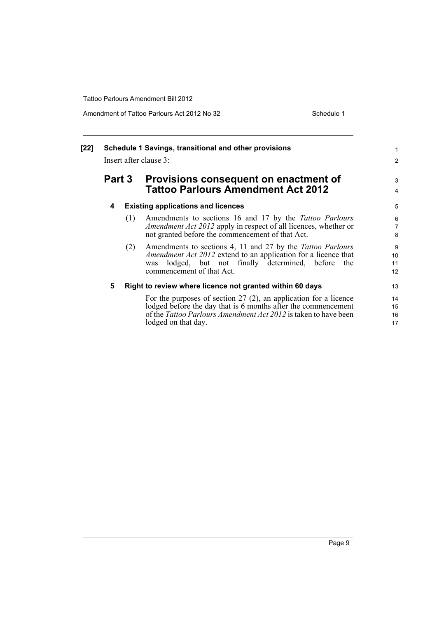| [22] |        |     | Schedule 1 Savings, transitional and other provisions<br>Insert after clause 3:                                                                                                                                                      | $\mathbf{1}$<br>$\overline{2}$ |
|------|--------|-----|--------------------------------------------------------------------------------------------------------------------------------------------------------------------------------------------------------------------------------------|--------------------------------|
|      | Part 3 |     | Provisions consequent on enactment of<br><b>Tattoo Parlours Amendment Act 2012</b>                                                                                                                                                   | 3<br>$\overline{4}$            |
|      | 4      |     | <b>Existing applications and licences</b>                                                                                                                                                                                            | 5                              |
|      |        | (1) | Amendments to sections 16 and 17 by the <i>Tattoo Parlours</i><br><i>Amendment Act 2012</i> apply in respect of all licences, whether or<br>not granted before the commencement of that Act.                                         | 6<br>$\overline{7}$<br>8       |
|      |        | (2) | Amendments to sections 4, 11 and 27 by the Tattoo Parlours<br>Amendment Act 2012 extend to an application for a licence that<br>lodged, but not finally determined, before<br>the<br>was<br>commencement of that Act.                | 9<br>10<br>11<br>12            |
|      | 5      |     | Right to review where licence not granted within 60 days                                                                                                                                                                             | 13                             |
|      |        |     | For the purposes of section $27(2)$ , an application for a licence<br>lodged before the day that is 6 months after the commencement<br>of the <i>Tattoo Parlours Amendment Act 2012</i> is taken to have been<br>lodged on that day. | 14<br>15<br>16<br>17           |